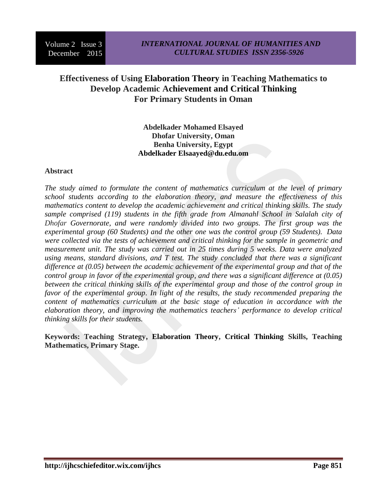# **Effectiveness of Using Elaboration Theory in Teaching Mathematics to Develop Academic Achievement and Critical Thinking For Primary Students in Oman**

### **Abdelkader Mohamed Elsayed Dhofar University, Oman Benha University, Egypt Abdelkader Elsaayed@du.edu.om**

#### **Abstract**

*The study aimed to formulate the content of mathematics curriculum at the level of primary school students according to the elaboration theory, and measure the effectiveness of this mathematics content to develop the academic achievement and critical thinking skills. The study sample comprised (119) students in the fifth grade from Almanahl School in Salalah city of Dhofar Governorate, and were randomly divided into two groups. The first group was the experimental group (60 Students) and the other one was the control group (59 Students). Data were collected via the tests of achievement and critical thinking for the sample in geometric and measurement unit. The study was carried out in 25 times during 5 weeks. Data were analyzed using means, standard divisions, and T test. The study concluded that there was a significant difference at (0.05) between the academic achievement of the experimental group and that of the control group in favor of the experimental group, and there was a significant difference at (0.05) between the critical thinking skills of the experimental group and those of the control group in favor of the experimental group. In light of the results, the study recommended preparing the content of mathematics curriculum at the basic stage of education in accordance with the elaboration theory, and improving the mathematics teachers' performance to develop critical thinking skills for their students.*

**Keywords: Teaching Strategy, Elaboration Theory, Critical Thinking Skills, Teaching Mathematics, Primary Stage.**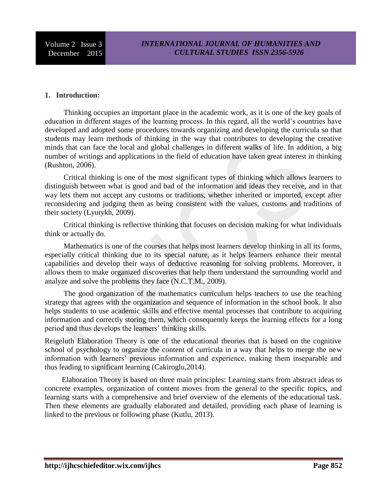### **1. Introduction:**

 Thinking occupies an important place in the academic work, as it is one of the key goals of education in different stages of the learning process. In this regard, all the world's countries have developed and adopted some procedures towards organizing and developing the curricula so that students may learn methods of thinking in the way that contributes to developing the creative minds that can face the local and global challenges in different walks of life. In addition, a big number of writings and applications in the field of education have taken great interest in thinking (Rushton, 2006).

 Critical thinking is one of the most significant types of thinking which allows learners to distinguish between what is good and bad of the information and ideas they receive, and in that way lets them not accept any customs or traditions, whether inherited or imported, except after reconsidering and judging them as being consistent with the values, customs and traditions of their society (Lyutykh, 2009).

 Critical thinking is reflective thinking that focuses on decision making for what individuals think or actually do.

 Mathematics is one of the courses that helps most learners develop thinking in all its forms, especially critical thinking due to its special nature, as it helps learners enhance their mental capabilities and develop their ways of deductive reasoning for solving problems. Moreover, it allows them to make organized discoveries that help them understand the surrounding world and analyze and solve the problems they face (N.C.T.M., 2009).

 The good organization of the mathematics curriculum helps teachers to use the teaching strategy that agrees with the organization and sequence of information in the school book. It also helps students to use academic skills and effective mental processes that contribute to acquiring information and correctly storing them, which consequently keeps the learning effects for a long period and thus develops the learners' thinking skills.

Reigeluth Elaboration Theory is one of the educational theories that is based on the cognitive school of psychology to organize the content of curricula in a way that helps to merge the new information with learners' previous information and experience, making them inseparable and thus leading to significant learning (Cakiroglu,2014).

 Elaboration Theory is based on three main principles: Learning starts from abstract ideas to concrete examples, organization of content moves from the general to the specific topics, and learning starts with a comprehensive and brief overview of the elements of the educational task. Then these elements are gradually elaborated and detailed, providing each phase of learning is linked to the previous or following phase (Kutlu, 2013).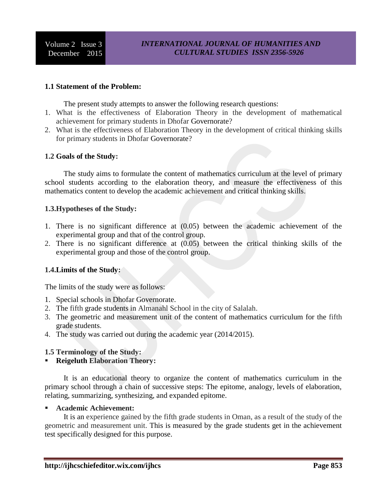### **1.1 Statement of the Problem:**

The present study attempts to answer the following research questions:

- 1. What is the effectiveness of Elaboration Theory in the development of mathematical achievement for primary students in Dhofar Governorate?
- 2. What is the effectiveness of Elaboration Theory in the development of critical thinking skills for primary students in Dhofar Governorate?

#### **1.2 Goals of the Study:**

 The study aims to formulate the content of mathematics curriculum at the level of primary school students according to the elaboration theory, and measure the effectiveness of this mathematics content to develop the academic achievement and critical thinking skills.

#### **1.3.Hypotheses of the Study:**

- 1. There is no significant difference at (0.05) between the academic achievement of the experimental group and that of the control group.
- 2. There is no significant difference at (0.05) between the critical thinking skills of the experimental group and those of the control group.

### **1.4.Limits of the Study:**

The limits of the study were as follows:

- 1. Special schools in Dhofar Governorate.
- 2. The fifth grade students in Almanahl School in the city of Salalah.
- 3. The geometric and measurement unit of the content of mathematics curriculum for the fifth grade students.
- 4. The study was carried out during the academic year (2014/2015).

#### **1.5 Terminology of the Study:**

### **Reigeluth Elaboration Theory:**

 It is an educational theory to organize the content of mathematics curriculum in the primary school through a chain of successive steps: The epitome, analogy, levels of elaboration, relating, summarizing, synthesizing, and expanded epitome.

#### **Academic Achievement:**

 It is an experience gained by the fifth grade students in Oman, as a result of the study of the geometric and measurement unit. This is measured by the grade students get in the achievement test specifically designed for this purpose.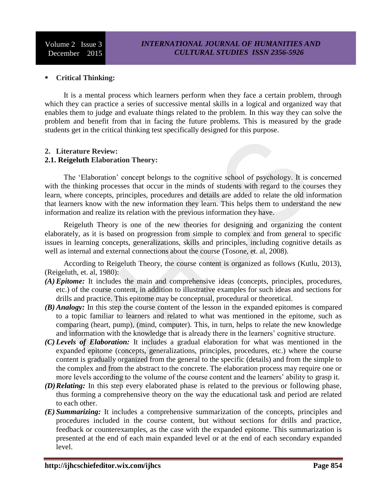### **Critical Thinking:**

 It is a mental process which learners perform when they face a certain problem, through which they can practice a series of successive mental skills in a logical and organized way that enables them to judge and evaluate things related to the problem. In this way they can solve the problem and benefit from that in facing the future problems. This is measured by the grade students get in the critical thinking test specifically designed for this purpose.

#### **2. Literature Review: 2.1. Reigeluth Elaboration Theory:**

 The 'Elaboration' concept belongs to the cognitive school of psychology. It is concerned with the thinking processes that occur in the minds of students with regard to the courses they learn, where concepts, principles, procedures and details are added to relate the old information that learners know with the new information they learn. This helps them to understand the new information and realize its relation with the previous information they have.

 Reigeluth Theory is one of the new theories for designing and organizing the content elaborately, as it is based on progression from simple to complex and from general to specific issues in learning concepts, generalizations, skills and principles, including cognitive details as well as internal and external connections about the course (Tosone, et. al, 2008).

 According to Reigeluth Theory, the course content is organized as follows (Kutlu, 2013), (Reigeluth, et. al, 1980):

- *(A) Epitome:* It includes the main and comprehensive ideas (concepts, principles, procedures, etc.) of the course content, in addition to illustrative examples for such ideas and sections for drills and practice. This epitome may be conceptual, procedural or theoretical.
- *(B) Analogy:* In this step the course content of the lesson in the expanded epitomes is compared to a topic familiar to learners and related to what was mentioned in the epitome, such as comparing (heart, pump), (mind, computer). This, in turn, helps to relate the new knowledge and information with the knowledge that is already there in the learners' cognitive structure.
- *(C) Levels of Elaboration:* It includes a gradual elaboration for what was mentioned in the expanded epitome (concepts, generalizations, principles, procedures, etc.) where the course content is gradually organized from the general to the specific (details) and from the simple to the complex and from the abstract to the concrete. The elaboration process may require one or more levels according to the volume of the course content and the learners' ability to grasp it.
- *(D)Relating:* In this step every elaborated phase is related to the previous or following phase, thus forming a comprehensive theory on the way the educational task and period are related to each other.
- *(E) Summarizing:* It includes a comprehensive summarization of the concepts, principles and procedures included in the course content, but without sections for drills and practice, feedback or counterexamples, as the case with the expanded epitome. This summarization is presented at the end of each main expanded level or at the end of each secondary expanded level.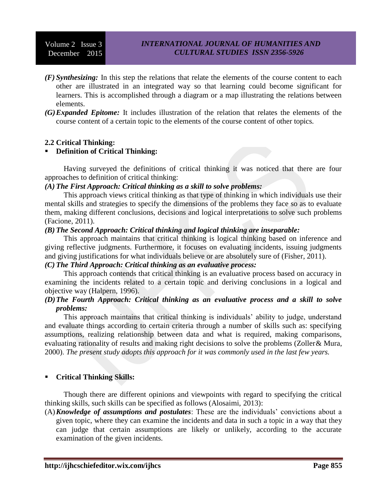- *(F) Synthesizing:* In this step the relations that relate the elements of the course content to each other are illustrated in an integrated way so that learning could become significant for learners. This is accomplished through a diagram or a map illustrating the relations between elements.
- *(G)Expanded Epitome:* It includes illustration of the relation that relates the elements of the course content of a certain topic to the elements of the course content of other topics.

### **2.2 Critical Thinking:**

### **Definition of Critical Thinking:**

 Having surveyed the definitions of critical thinking it was noticed that there are four approaches to definition of critical thinking:

#### *(A) The First Approach: Critical thinking as a skill to solve problems:*

 This approach views critical thinking as that type of thinking in which individuals use their mental skills and strategies to specify the dimensions of the problems they face so as to evaluate them, making different conclusions, decisions and logical interpretations to solve such problems (Facione, 2011).

#### *(B) The Second Approach: Critical thinking and logical thinking are inseparable:*

 This approach maintains that critical thinking is logical thinking based on inference and giving reflective judgments. Furthermore, it focuses on evaluating incidents, issuing judgments and giving justifications for what individuals believe or are absolutely sure of (Fisher, 2011).

# *(C) The Third Approach: Critical thinking as an evaluative process:*

 This approach contends that critical thinking is an evaluative process based on accuracy in examining the incidents related to a certain topic and deriving conclusions in a logical and objective way (Halpern, 1996).

#### *(D)The Fourth Approach: Critical thinking as an evaluative process and a skill to solve problems:*

 This approach maintains that critical thinking is individuals' ability to judge, understand and evaluate things according to certain criteria through a number of skills such as: specifying assumptions, realizing relationship between data and what is required, making comparisons, evaluating rationality of results and making right decisions to solve the problems (Zoller& Mura, 2000). *The present study adopts this approach for it was commonly used in the last few years.*

### **Critical Thinking Skills:**

 Though there are different opinions and viewpoints with regard to specifying the critical thinking skills, such skills can be specified as follows (Alosaimi, 2013):

(A)*Knowledge of assumptions and postulates*: These are the individuals' convictions about a given topic, where they can examine the incidents and data in such a topic in a way that they can judge that certain assumptions are likely or unlikely, according to the accurate examination of the given incidents.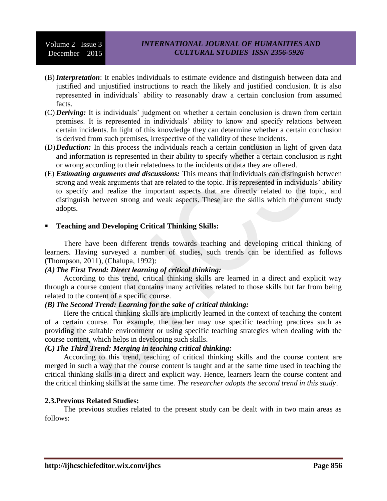- (B)*Interpretation*: It enables individuals to estimate evidence and distinguish between data and justified and unjustified instructions to reach the likely and justified conclusion. It is also represented in individuals' ability to reasonably draw a certain conclusion from assumed facts.
- (C) *Deriving:* It is individuals' judgment on whether a certain conclusion is drawn from certain premises. It is represented in individuals' ability to know and specify relations between certain incidents. In light of this knowledge they can determine whether a certain conclusion is derived from such premises, irrespective of the validity of these incidents.
- (D)*Deduction:* In this process the individuals reach a certain conclusion in light of given data and information is represented in their ability to specify whether a certain conclusion is right or wrong according to their relatedness to the incidents or data they are offered.
- (E) *Estimating arguments and discussions:* This means that individuals can distinguish between strong and weak arguments that are related to the topic. It is represented in individuals' ability to specify and realize the important aspects that are directly related to the topic, and distinguish between strong and weak aspects. These are the skills which the current study adopts.

### **Teaching and Developing Critical Thinking Skills:**

 There have been different trends towards teaching and developing critical thinking of learners. Having surveyed a number of studies, such trends can be identified as follows (Thompson, 2011), (Chalupa, 1992):

### *(A) The First Trend: Direct learning of critical thinking:*

 According to this trend, critical thinking skills are learned in a direct and explicit way through a course content that contains many activities related to those skills but far from being related to the content of a specific course.

### *(B) The Second Trend: Learning for the sake of critical thinking:*

 Here the critical thinking skills are implicitly learned in the context of teaching the content of a certain course. For example, the teacher may use specific teaching practices such as providing the suitable environment or using specific teaching strategies when dealing with the course content, which helps in developing such skills.

### *(C) The Third Trend: Merging in teaching critical thinking:*

 According to this trend, teaching of critical thinking skills and the course content are merged in such a way that the course content is taught and at the same time used in teaching the critical thinking skills in a direct and explicit way. Hence, learners learn the course content and the critical thinking skills at the same time. *The researcher adopts the second trend in this study*.

#### **2.3.Previous Related Studies:**

 The previous studies related to the present study can be dealt with in two main areas as follows: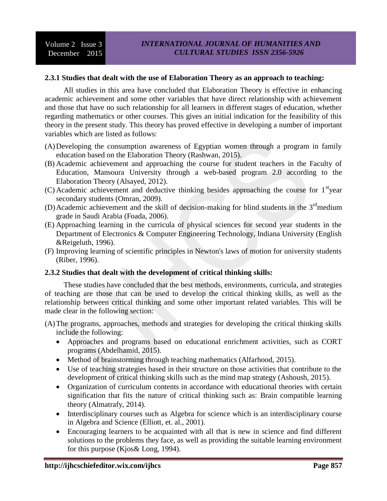#### **2.3.1 Studies that dealt with the use of Elaboration Theory as an approach to teaching:**

 All studies in this area have concluded that Elaboration Theory is effective in enhancing academic achievement and some other variables that have direct relationship with achievement and those that have no such relationship for all learners in different stages of education, whether regarding mathematics or other courses. This gives an initial indication for the feasibility of this theory in the present study. This theory has proved effective in developing a number of important variables which are listed as follows:

- (A)Developing the consumption awareness of Egyptian women through a program in family education based on the Elaboration Theory (Rashwan, 2015).
- (B) Academic achievement and approaching the course for student teachers in the Faculty of Education, Mansoura University through a web-based program 2.0 according to the Elaboration Theory (Alsayed, 2012).
- $(C)$  Academic achievement and deductive thinking besides approaching the course for  $1<sup>st</sup>$ year secondary students (Omran, 2009).
- (D) Academic achievement and the skill of decision-making for blind students in the  $3<sup>rd</sup>$ medium grade in Saudi Arabia (Foada, 2006).
- (E) Approaching learning in the curricula of physical sciences for second year students in the Department of Electronics & Computer Engineering Technology, Indiana University (English &Reigeluth, 1996).
- (F) Improving learning of scientific principles in Newton's laws of motion for university students (Riber, 1996).

### **2.3.2 Studies that dealt with the development of critical thinking skills:**

 These studies have concluded that the best methods, environments, curricula, and strategies of teaching are those that can be used to develop the critical thinking skills, as well as the relationship between critical thinking and some other important related variables. This will be made clear in the following section:

- (A)The programs, approaches, methods and strategies for developing the critical thinking skills include the following:
	- Approaches and programs based on educational enrichment activities, such as CORT programs (Abdelhamid, 2015).
	- Method of brainstorming through teaching mathematics (Alfarhood, 2015).
	- Use of teaching strategies based in their structure on those activities that contribute to the development of critical thinking skills such as the mind map strategy (Ashoush, 2015).
	- Organization of curriculum contents in accordance with educational theories with certain signification that fits the nature of critical thinking such as: Brain compatible learning theory (Almatrafy, 2014).
	- Interdisciplinary courses such as Algebra for science which is an interdisciplinary course in Algebra and Science (Elliott, et. al., 2001).
	- Encouraging learners to be acquainted with all that is new in science and find different solutions to the problems they face, as well as providing the suitable learning environment for this purpose (Kjos& Long, 1994).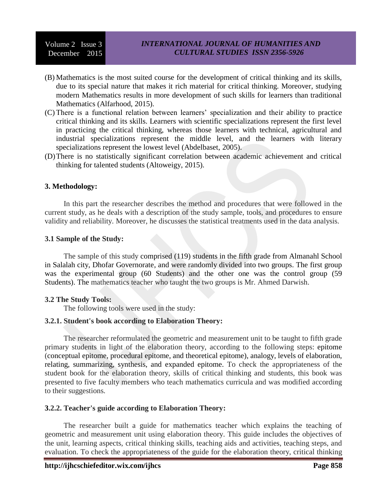- (B) Mathematics is the most suited course for the development of critical thinking and its skills, due to its special nature that makes it rich material for critical thinking. Moreover, studying modern Mathematics results in more development of such skills for learners than traditional Mathematics (Alfarhood, 2015).
- (C) There is a functional relation between learners' specialization and their ability to practice critical thinking and its skills. Learners with scientific specializations represent the first level in practicing the critical thinking, whereas those learners with technical, agricultural and industrial specializations represent the middle level, and the learners with literary specializations represent the lowest level (Abdelbaset, 2005).
- (D)There is no statistically significant correlation between academic achievement and critical thinking for talented students (Altoweigy, 2015).

#### **3. Methodology:**

 In this part the researcher describes the method and procedures that were followed in the current study, as he deals with a description of the study sample, tools, and procedures to ensure validity and reliability. Moreover, he discusses the statistical treatments used in the data analysis.

#### **3.1 Sample of the Study:**

 The sample of this study comprised (119) students in the fifth grade from Almanahl School in Salalah city, Dhofar Governorate, and were randomly divided into two groups. The first group was the experimental group (60 Students) and the other one was the control group (59 Students). The mathematics teacher who taught the two groups is Mr. Ahmed Darwish.

#### **3.2 The Study Tools:**

The following tools were used in the study:

#### **3.2.1. Student's book according to Elaboration Theory:**

 The researcher reformulated the geometric and measurement unit to be taught to fifth grade primary students in light of the elaboration theory, according to the following steps: epitome (conceptual epitome, procedural epitome, and theoretical epitome), analogy, levels of elaboration, relating, summarizing, synthesis, and expanded epitome. To check the appropriateness of the student book for the elaboration theory, skills of critical thinking and students, this book was presented to five faculty members who teach mathematics curricula and was modified according to their suggestions.

#### **3.2.2. Teacher's guide according to Elaboration Theory:**

 The researcher built a guide for mathematics teacher which explains the teaching of geometric and measurement unit using elaboration theory. This guide includes the objectives of the unit, learning aspects, critical thinking skills, teaching aids and activities, teaching steps, and evaluation. To check the appropriateness of the guide for the elaboration theory, critical thinking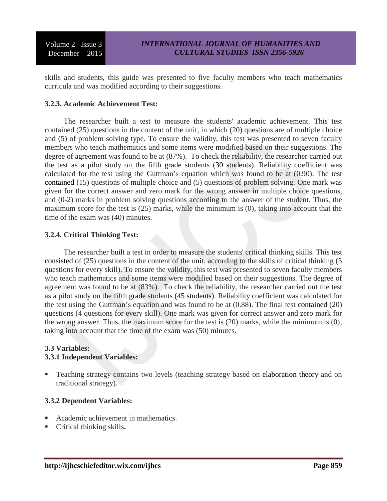skills and students, this guide was presented to five faculty members who teach mathematics curricula and was modified according to their suggestions.

### **3.2.3. Academic Achievement Test:**

 The researcher built a test to measure the students' academic achievement. This test contained (25) questions in the content of the unit, in which (20) questions are of multiple choice and (5) of problem solving type. To ensure the validity, this test was presented to seven faculty members who teach mathematics and some items were modified based on their suggestions. The degree of agreement was found to be at (87%). To check the reliability, the researcher carried out the test as a pilot study on the fifth grade students (30 students). Reliability coefficient was calculated for the test using the Guttman's equation which was found to be at (0.90). The test contained (15) questions of multiple choice and (5) questions of problem solving. One mark was given for the correct answer and zero mark for the wrong answer in multiple choice questions, and (0-2) marks in problem solving questions according to the answer of the student. Thus, the maximum score for the test is (25) marks, while the minimum is (0), taking into account that the time of the exam was (40) minutes.

### **3.2.4. Critical Thinking Test:**

 The researcher built a test in order to measure the students' critical thinking skills. This test consisted of (25) questions in the content of the unit, according to the skills of critical thinking (5 questions for every skill). To ensure the validity, this test was presented to seven faculty members who teach mathematics and some items were modified based on their suggestions. The degree of agreement was found to be at (83%). To check the reliability, the researcher carried out the test as a pilot study on the fifth grade students (45 students). Reliability coefficient was calculated for the test using the Guttman's equation and was found to be at (0.88). The final test contained (20) questions (4 questions for every skill). One mark was given for correct answer and zero mark for the wrong answer. Thus, the maximum score for the test is (20) marks, while the minimum is (0), taking into account that the time of the exam was (50) minutes.

### **3.3 Variables:**

### **3.3.1 Independent Variables:**

**Teaching strategy contains two levels (teaching strategy based on elaboration theory and on** traditional strategy).

#### **3.3.2 Dependent Variables:**

- Academic achievement in mathematics.
- Critical thinking skills**.**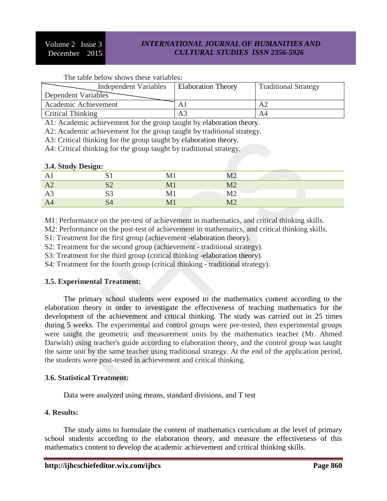**3.4. Study Design:**

### *INTERNATIONAL JOURNAL OF HUMANITIES AND CULTURAL STUDIES ISSN 2356-5926*

### The table below shows these variables:

| <b>Independent Variables</b> | Elaboration Theory | <b>Traditional Strategy</b> |
|------------------------------|--------------------|-----------------------------|
| Dependent Variables          |                    |                             |
| Academic Achievement         | A1                 | A2                          |
| <b>Critical Thinking</b>     | A3                 | A4                          |

A1: Academic achievement for the group taught by elaboration theory.

A2: Academic achievement for the group taught by traditional strategy.

A3: Critical thinking for the group taught by elaboration theory.

A4: Critical thinking for the group taught by traditional strategy.

| 3.4. Study Design: |              |               |                          |  |
|--------------------|--------------|---------------|--------------------------|--|
| $\mathbf{L}$       | ມ⊥           |               | $\overline{10}$<br>IVI Z |  |
| A2                 | $\sim$<br>◡∠ | $\mathbf{M}1$ | M <sub>2</sub>           |  |
| Aj                 | Πn<br>SŚ     | M1            | M <sub>2</sub>           |  |
| A4                 | S4           | МJ            | $\overline{\mathrm{M}2}$ |  |

M1: Performance on the pre-test of achievement in mathematics, and critical thinking skills.

M2: Performance on the post-test of achievement in mathematics, and critical thinking skills.

S1: Treatment for the first group (achievement -elaboration theory).

S2: Treatment for the second group (achievement - traditional strategy).

S3: Treatment for the third group (critical thinking -elaboration theory).

S4: Treatment for the fourth group (critical thinking - traditional strategy).

#### **3.5. Experimental Treatment:**

 The primary school students were exposed to the mathematics content according to the elaboration theory in order to investigate the effectiveness of teaching mathematics for the development of the achievement and critical thinking. The study was carried out in 25 times during 5 weeks. The experimental and control groups were pre-tested, then experimental groups were taught the geometric and measurement units by the mathematics teacher (Mr. Ahmed Darwish) using teacher's guide according to elaboration theory, and the control group was taught the same unit by the same teacher using traditional strategy. At the end of the application period, the students were post-tested in achievement and critical thinking.

#### **3.6. Statistical Treatment:**

Data were analyzed using means, standard divisions, and T test

#### **4. Results:**

 The study aims to formulate the content of mathematics curriculum at the level of primary school students according to the elaboration theory, and measure the effectiveness of this mathematics content to develop the academic achievement and critical thinking skills.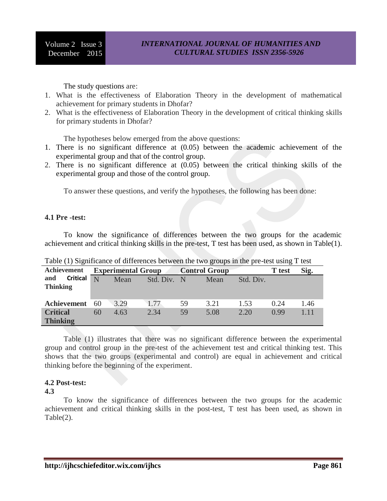The study questions are:

- 1. What is the effectiveness of Elaboration Theory in the development of mathematical achievement for primary students in Dhofar?
- 2. What is the effectiveness of Elaboration Theory in the development of critical thinking skills for primary students in Dhofar?

The hypotheses below emerged from the above questions:

- 1. There is no significant difference at (0.05) between the academic achievement of the experimental group and that of the control group.
- 2. There is no significant difference at (0.05) between the critical thinking skills of the experimental group and those of the control group.

To answer these questions, and verify the hypotheses, the following has been done:

#### **4.1 Pre -test:**

 To know the significance of differences between the two groups for the academic achievement and critical thinking skills in the pre-test, T test has been used, as shown in Table(1).

|                 |                 |    |                           | Twore (I) premiitemies of enfresheed overwelf mie en o michele in |     |                      |               |      |      |
|-----------------|-----------------|----|---------------------------|-------------------------------------------------------------------|-----|----------------------|---------------|------|------|
| Achievement     |                 |    | <b>Experimental Group</b> |                                                                   |     | <b>Control Group</b> | <b>T</b> test | Sig. |      |
| and             | <b>Critical</b> | N  | Mean                      | Std. Div.                                                         | - N | Mean                 | Std. Div.     |      |      |
| <b>Thinking</b> |                 |    |                           |                                                                   |     |                      |               |      |      |
|                 |                 |    |                           |                                                                   |     |                      |               |      |      |
| Achievement     |                 | 60 | 3.29                      | 1.77                                                              | 59  | 3.21                 | 1.53          | 0.24 | 1.46 |
| <b>Critical</b> |                 | 60 | 4.63                      | 2.34                                                              | 59  | 5.08                 | 2.20          | 0.99 | 1.11 |
| <b>Thinking</b> |                 |    |                           |                                                                   |     |                      |               |      |      |

Table (1) Significance of differences between the two groups in the pre-test using T test

 Table (1) illustrates that there was no significant difference between the experimental group and control group in the pre-test of the achievement test and critical thinking test. This shows that the two groups (experimental and control) are equal in achievement and critical thinking before the beginning of the experiment.

### **4.2 Post-test:**

**4.3**

 To know the significance of differences between the two groups for the academic achievement and critical thinking skills in the post-test, T test has been used, as shown in Table(2).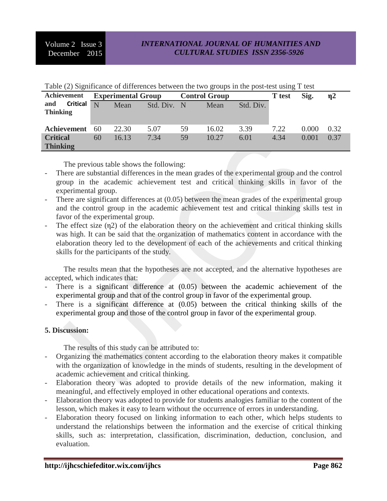| Table (2) significance of differences between the two groups in the post-test using T test |    |                           |  |             |                      |       |           |               |       |               |
|--------------------------------------------------------------------------------------------|----|---------------------------|--|-------------|----------------------|-------|-----------|---------------|-------|---------------|
| Achievement                                                                                |    | <b>Experimental Group</b> |  |             | <b>Control Group</b> |       |           | <b>T</b> test | Sig.  | $\mathbf{n}2$ |
| <b>Critical</b><br>and                                                                     | N  | Mean                      |  | Std. Div. N |                      | Mean  | Std. Div. |               |       |               |
| <b>Thinking</b>                                                                            |    |                           |  |             |                      |       |           |               |       |               |
| Achievement                                                                                | 60 | 22.30                     |  | 5.07        | 59                   | 16.02 | 3.39      | 7.22          | 0.000 | 0.32          |
| <b>Critical</b>                                                                            | 60 | 16.13                     |  | 7.34        | 59                   | 10.27 | 6.01      | 4.34          | 0.001 | 0.37          |
| <b>Thinking</b>                                                                            |    |                           |  |             |                      |       |           |               |       |               |

Table (2) Significance of differences between the two groups in the post-test using T test

The previous table shows the following:

- There are substantial differences in the mean grades of the experimental group and the control group in the academic achievement test and critical thinking skills in favor of the experimental group.
- There are significant differences at  $(0.05)$  between the mean grades of the experimental group and the control group in the academic achievement test and critical thinking skills test in favor of the experimental group.
- The effect size  $(\eta_2)$  of the elaboration theory on the achievement and critical thinking skills was high. It can be said that the organization of mathematics content in accordance with the elaboration theory led to the development of each of the achievements and critical thinking skills for the participants of the study.

 The results mean that the hypotheses are not accepted, and the alternative hypotheses are accepted, which indicates that:

- There is a significant difference at  $(0.05)$  between the academic achievement of the experimental group and that of the control group in favor of the experimental group.
- There is a significant difference at  $(0.05)$  between the critical thinking skills of the experimental group and those of the control group in favor of the experimental group.

### **5. Discussion:**

The results of this study can be attributed to:

- Organizing the mathematics content according to the elaboration theory makes it compatible with the organization of knowledge in the minds of students, resulting in the development of academic achievement and critical thinking.
- Elaboration theory was adopted to provide details of the new information, making it meaningful, and effectively employed in other educational operations and contexts.
- Elaboration theory was adopted to provide for students analogies familiar to the content of the lesson, which makes it easy to learn without the occurrence of errors in understanding.
- Elaboration theory focused on linking information to each other, which helps students to understand the relationships between the information and the exercise of critical thinking skills, such as: interpretation, classification, discrimination, deduction, conclusion, and evaluation.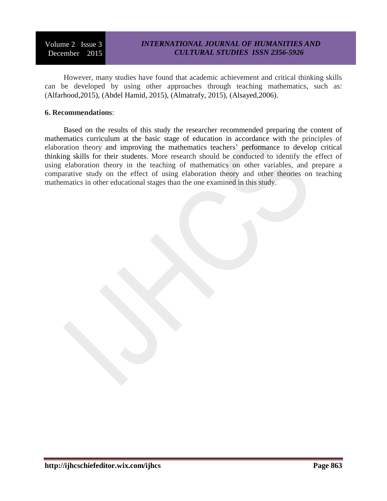# *INTERNATIONAL JOURNAL OF HUMANITIES AND CULTURAL STUDIES ISSN 2356-5926*

 However, many studies have found that academic achievement and critical thinking skills can be developed by using other approaches through teaching mathematics, such as: (Alfarhood,2015), (Abdel Hamid, 2015), (Almatrafy, 2015), (Alsayed,2006).

#### **6. Recommendations**:

 Based on the results of this study the researcher recommended preparing the content of mathematics curriculum at the basic stage of education in accordance with the principles of elaboration theory and improving the mathematics teachers' performance to develop critical thinking skills for their students. More research should be conducted to identify the effect of using elaboration theory in the teaching of mathematics on other variables, and prepare a comparative study on the effect of using elaboration theory and other theories on teaching mathematics in other educational stages than the one examined in this study.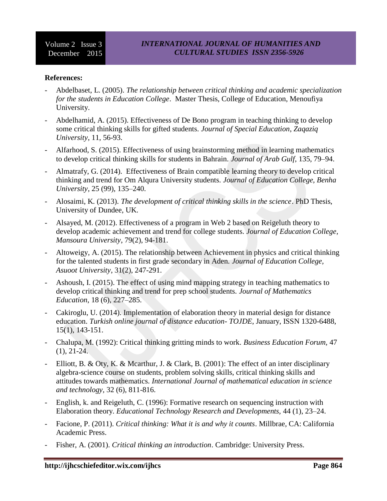### **References:**

- Abdelbaset, L. (2005). *The relationship between critical thinking and academic specialization for the students in Education College*. Master Thesis, College of Education, Menoufiya University.
- Abdelhamid, A. (2015). Effectiveness of De Bono program in teaching thinking to develop some critical thinking skills for gifted students. *Journal of Special Education*, *Zaqaziq University*, 11, 56-93.
- Alfarhood, S. (2015). Effectiveness of using brainstorming method in learning mathematics to develop critical thinking skills for students in Bahrain. *Journal of Arab Gulf*, 135, 79–94.
- Almatrafy, G. (2014). Effectiveness of Brain compatible learning theory to develop critical thinking and trend for Om Alqura University students. *Journal of Education College, Benha University*, 25 (99), 135–240.
- Alosaimi, K. (2013). *The development of critical thinking skills in the science*. PhD Thesis, University of Dundee, UK.
- Alsayed, M. (2012). Effectiveness of a program in Web 2 based on Reigeluth theory to develop academic achievement and trend for college students. *Journal of Education College, Mansoura University*, 79(2), 94-181.
- Altoweigy, A. (2015). The relationship between Achievement in physics and critical thinking for the talented students in first grade secondary in Aden. *Journal of Education College, Asuoot University*, 31(2), 247-291.
- Ashoush, I. (2015). The effect of using mind mapping strategy in teaching mathematics to develop critical thinking and trend for prep school students. *Journal of Mathematics Education*, 18 (6), 227–285.
- Cakiroglu, U. (2014). Implementation of elaboration theory in material design for distance education. *Turkish online journal of distance education- TOJDE*, January, ISSN 1320-6488, 15(1), 143-151.
- Chalupa, M. (1992): Critical thinking gritting minds to work. *Business Education Forum,* 47 (1), 21-24.
- Elliott, B. & Oty, K. & Mcarthur, J. & Clark, B. (2001): The effect of an inter disciplinary algebra-science course on students, problem solving skills, critical thinking skills and attitudes towards mathematics. *International Journal of mathematical education in science and technology,* 32 (6), 811-816.
- English, k. and Reigeluth, C. (1996): Formative research on sequencing instruction with Elaboration theory. *Educational Technology Research and Developments,* 44 (1), 23–24.
- Facione, P. (2011). *Critical thinking: What it is and why it counts*. Millbrae, CA: California Academic Press.
- Fisher, A. (2001). *Critical thinking an introduction*. Cambridge: University Press.